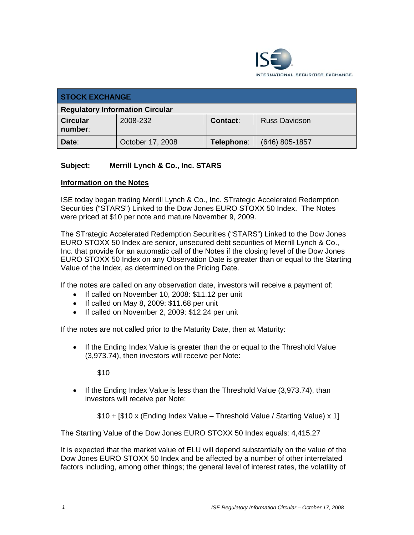

| <b>STOCK EXCHANGE</b>                  |                  |            |                      |
|----------------------------------------|------------------|------------|----------------------|
| <b>Regulatory Information Circular</b> |                  |            |                      |
| <b>Circular</b><br>number:             | 2008-232         | Contact:   | <b>Russ Davidson</b> |
| Date:                                  | October 17, 2008 | Telephone: | $(646)$ 805-1857     |

## **Subject: Merrill Lynch & Co., Inc. STARS**

## **Information on the Notes**

ISE today began trading Merrill Lynch & Co., Inc. STrategic Accelerated Redemption Securities ("STARS") Linked to the Dow Jones EURO STOXX 50 Index. The Notes were priced at \$10 per note and mature November 9, 2009.

The STrategic Accelerated Redemption Securities ("STARS") Linked to the Dow Jones EURO STOXX 50 Index are senior, unsecured debt securities of Merrill Lynch & Co., Inc. that provide for an automatic call of the Notes if the closing level of the Dow Jones EURO STOXX 50 Index on any Observation Date is greater than or equal to the Starting Value of the Index, as determined on the Pricing Date.

If the notes are called on any observation date, investors will receive a payment of:

- If called on November 10, 2008: \$11.12 per unit
- If called on May 8, 2009: \$11.68 per unit
- If called on November 2, 2009: \$12.24 per unit

If the notes are not called prior to the Maturity Date, then at Maturity:

• If the Ending Index Value is greater than the or equal to the Threshold Value (3,973.74), then investors will receive per Note:

\$10

• If the Ending Index Value is less than the Threshold Value (3,973.74), than investors will receive per Note:

\$10 + [\$10 x (Ending Index Value – Threshold Value / Starting Value) x 1]

The Starting Value of the Dow Jones EURO STOXX 50 Index equals: 4,415.27

It is expected that the market value of ELU will depend substantially on the value of the Dow Jones EURO STOXX 50 Index and be affected by a number of other interrelated factors including, among other things; the general level of interest rates, the volatility of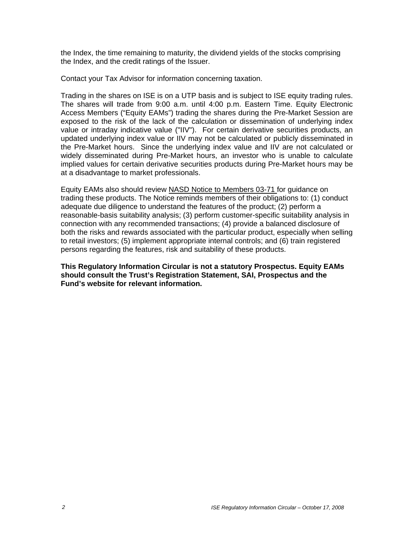the Index, the time remaining to maturity, the dividend yields of the stocks comprising the Index, and the credit ratings of the Issuer.

Contact your Tax Advisor for information concerning taxation.

Trading in the shares on ISE is on a UTP basis and is subject to ISE equity trading rules. The shares will trade from 9:00 a.m. until 4:00 p.m. Eastern Time. Equity Electronic Access Members ("Equity EAMs") trading the shares during the Pre-Market Session are exposed to the risk of the lack of the calculation or dissemination of underlying index value or intraday indicative value ("IIV"). For certain derivative securities products, an updated underlying index value or IIV may not be calculated or publicly disseminated in the Pre-Market hours. Since the underlying index value and IIV are not calculated or widely disseminated during Pre-Market hours, an investor who is unable to calculate implied values for certain derivative securities products during Pre-Market hours may be at a disadvantage to market professionals.

Equity EAMs also should review NASD Notice to Members 03-71 for guidance on trading these products. The Notice reminds members of their obligations to: (1) conduct adequate due diligence to understand the features of the product; (2) perform a reasonable-basis suitability analysis; (3) perform customer-specific suitability analysis in connection with any recommended transactions; (4) provide a balanced disclosure of both the risks and rewards associated with the particular product, especially when selling to retail investors; (5) implement appropriate internal controls; and (6) train registered persons regarding the features, risk and suitability of these products.

**This Regulatory Information Circular is not a statutory Prospectus. Equity EAMs should consult the Trust's Registration Statement, SAI, Prospectus and the Fund's website for relevant information.**